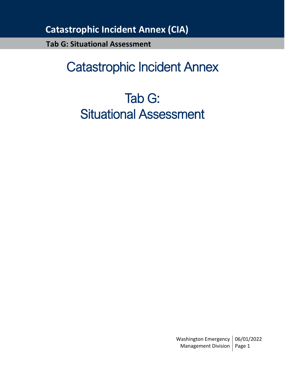**Tab G: Situational Assessment**

# Catastrophic Incident Annex

# Tab G: Situational Assessment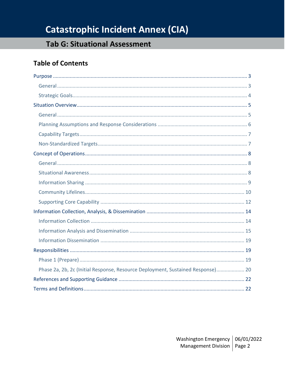## **Tab G: Situational Assessment**

## **Table of Contents**

| Phase 2a, 2b, 2c (Initial Response, Resource Deployment, Sustained Response) 20 |
|---------------------------------------------------------------------------------|
|                                                                                 |
|                                                                                 |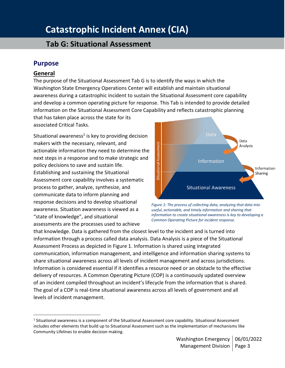## **Tab G: Situational Assessment**

### <span id="page-2-0"></span>**Purpose**

#### <span id="page-2-1"></span>**General**

The purpose of the Situational Assessment Tab G is to identify the ways in which the Washington State Emergency Operations Center will establish and maintain situational awareness during a catastrophic incident to sustain the Situational Assessment core capability and develop a common operating picture for response. This Tab is intended to provide detailed information on the Situational Assessment Core Capability and reflects catastrophic planning

that has taken place across the state for its associated Critical Tasks.

Situational awareness<sup>1</sup> is key to providing decision makers with the necessary, relevant, and actionable information they need to determine the next steps in a response and to make strategic and policy decisions to save and sustain life. Establishing and sustaining the Situational Assessment core capability involves a systematic process to gather, analyze, synthesize, and communicate data to inform planning and response decisions and to develop situational awareness. Situation awareness is viewed as a "state of knowledge", and situational assessments are the processes used to achieve



*Figure 1: The process of collecting data, analyzing that data into useful, actionable, and timely information and sharing that information to create situational awareness is key to developing a Common Operating Picture for incident response.*

that knowledge. Data is gathered from the closest level to the incident and is turned into information through a process called data analysis. Data Analysis is a piece of the Situational Assessment Process as depicted in Figure 1. Information is shared using integrated communication, information management, and intelligence and information sharing systems to share situational awareness across all levels of incident management and across jurisdictions. Information is considered essential if it identifies a resource need or an obstacle to the effective delivery of resources. A Common Operating Picture (COP) is a continuously updated overview of an incident compiled throughout an incident's lifecycle from the information that is shared. The goal of a COP is real-time situational awareness across all levels of government and all levels of incident management.

<sup>1</sup> Situational awareness is a component of the Situational Assessment core capability. Situational Assessment includes other elements that build up to Situational Assessment such as the implementation of mechanisms like Community Lifelines to enable decision making.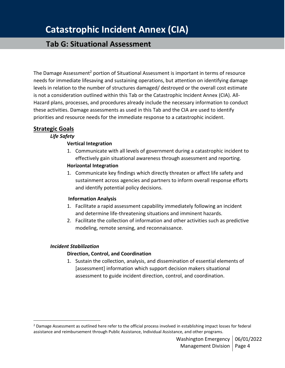## **Tab G: Situational Assessment**

The Damage Assessment<sup>2</sup> portion of Situational Assessment is important in terms of resource needs for immediate lifesaving and sustaining operations, but attention on identifying damage levels in relation to the number of structures damaged/ destroyed or the overall cost estimate is not a consideration outlined within this Tab or the Catastrophic Incident Annex (CIA). All-Hazard plans, processes, and procedures already include the necessary information to conduct these activities. Damage assessments as used in this Tab and the CIA are used to identify priorities and resource needs for the immediate response to a catastrophic incident.

#### <span id="page-3-0"></span>**Strategic Goals**

#### *Life Safety*

#### **Vertical Integration**

- 1. Communicate with all levels of government during a catastrophic incident to effectively gain situational awareness through assessment and reporting. **Horizontal Integration**
- 1. Communicate key findings which directly threaten or affect life safety and sustainment across agencies and partners to inform overall response efforts and identify potential policy decisions.

#### **Information Analysis**

- 1. Facilitate a rapid assessment capability immediately following an incident and determine life-threatening situations and imminent hazards.
- 2. Facilitate the collection of information and other activities such as predictive modeling, remote sensing, and reconnaissance.

#### *Incident Stabilization*

#### **Direction, Control, and Coordination**

1. Sustain the collection, analysis, and dissemination of essential elements of [assessment] information which support decision makers situational assessment to guide incident direction, control, and coordination.

 $<sup>2</sup>$  Damage Assessment as outlined here refer to the official process involved in establishing impact losses for federal</sup> assistance and reimbursement through Public Assistance, Individual Assistance, and other programs.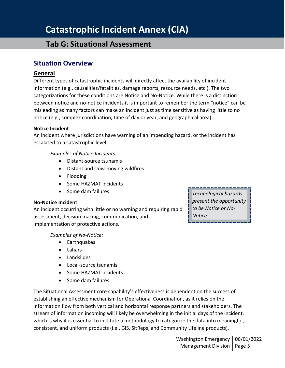### **Tab G: Situational Assessment**

#### <span id="page-4-0"></span>**Situation Overview**

#### <span id="page-4-1"></span>**General**

Different types of catastrophic incidents will directly affect the availability of incident information (e.g., causalities/fatalities, damage reports, resource needs, etc.). The two categorizations for these conditions are Notice and No-Notice. While there is a distinction between notice and no-notice incidents it is important to remember the term "notice" can be misleading as many factors can make an incident just as time sensitive as having little to no notice (e.g., complex coordination, time of day or year, and geographical area).

#### **Notice Incident**

An incident where jurisdictions have warning of an impending hazard, or the incident has escalated to a catastrophic level.

*Examples of Notice Incidents:*

- Distant-source tsunamis
- Distant and slow-moving wildfires
- Flooding
- Some HAZMAT incidents
- Some dam failures

#### **No-Notice Incident**

An incident occurring with little or no warning and requiring rapid assessment, decision making, communication, and implementation of protective actions.

*Examples of No-Notice:*

- Earthquakes
- Lahars
- Landslides
- Local-source tsunamis
- Some HAZMAT incidents
- Some dam failures

The Situational Assessment core capability's effectiveness is dependent on the success of establishing an effective mechanism for Operational Coordination, as it relies on the information flow from both vertical and horizontal response partners and stakeholders. The stream of information incoming will likely be overwhelming in the initial days of the incident, which is why it is essential to institute a methodology to categorize the data into meaningful, consistent, and uniform products (i.e., GIS, SitReps, and Community Lifeline products).

*Technological hazards present the opportunity to be Notice or No-Notice*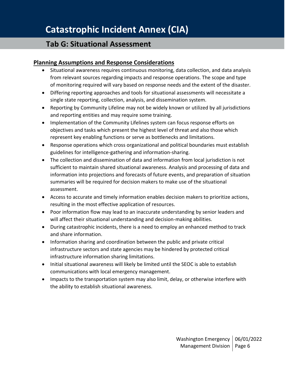### **Tab G: Situational Assessment**

#### <span id="page-5-0"></span>**Planning Assumptions and Response Considerations**

- Situational awareness requires continuous monitoring, data collection, and data analysis from relevant sources regarding impacts and response operations. The scope and type of monitoring required will vary based on response needs and the extent of the disaster.
- Differing reporting approaches and tools for situational assessments will necessitate a single state reporting, collection, analysis, and dissemination system.
- Reporting by Community Lifeline may not be widely known or utilized by all jurisdictions and reporting entities and may require some training.
- Implementation of the Community Lifelines system can focus response efforts on objectives and tasks which present the highest level of threat and also those which represent key enabling functions or serve as bottlenecks and limitations.
- Response operations which cross organizational and political boundaries must establish guidelines for intelligence-gathering and information-sharing.
- The collection and dissemination of data and information from local jurisdiction is not sufficient to maintain shared situational awareness. Analysis and processing of data and information into projections and forecasts of future events, and preparation of situation summaries will be required for decision makers to make use of the situational assessment.
- Access to accurate and timely information enables decision makers to prioritize actions, resulting in the most effective application of resources.
- Poor information flow may lead to an inaccurate understanding by senior leaders and will affect their situational understanding and decision-making abilities.
- During catastrophic incidents, there is a need to employ an enhanced method to track and share information.
- Information sharing and coordination between the public and private critical infrastructure sectors and state agencies may be hindered by protected critical infrastructure information sharing limitations.
- Initial situational awareness will likely be limited until the SEOC is able to establish communications with local emergency management.
- Impacts to the transportation system may also limit, delay, or otherwise interfere with the ability to establish situational awareness.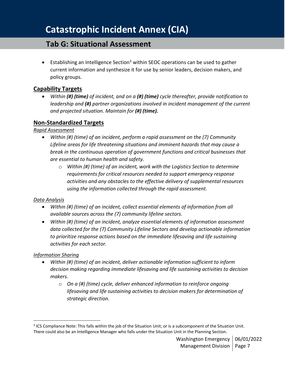## **Tab G: Situational Assessment**

**•** Establishing an Intelligence Section<sup>3</sup> within SEOC operations can be used to gather current information and synthesize it for use by senior leaders, decision makers, and policy groups.

#### <span id="page-6-0"></span>**Capability Targets**

• *Within (#) (time) of incident, and on a (#) (time) cycle thereafter, provide notification to leadership and (#) partner organizations involved in incident management of the current and projected situation. Maintain for (#) (time).* 

#### <span id="page-6-1"></span>**Non-Standardized Targets**

#### *Rapid Assessment*

- *Within (#) (time) of an incident, perform a rapid assessment on the (7) Community Lifeline areas for life threatening situations and imminent hazards that may cause a break in the continuous operation of government functions and critical businesses that are essential to human health and safety.* 
	- o *Within (#) (time) of an incident, work with the Logistics Section to determine requirements for critical resources needed to support emergency response activities and any obstacles to the effective delivery of supplemental resources using the information collected through the rapid assessment.*

#### *Data Analysis*

- *Within (#) (time) of an incident, collect essential elements of information from all available sources across the (7) community lifeline sectors.*
- *Within (#) (time) of an incident, analyze essential elements of information assessment data collected for the (7) Community Lifeline Sectors and develop actionable information to prioritize response actions based on the immediate lifesaving and life sustaining activities for each sector.*

#### *Information Sharing*

- *Within (#) (time) of an incident, deliver actionable information sufficient to inform decision making regarding immediate lifesaving and life sustaining activities to decision makers.*
	- o *On a (#) (time) cycle, deliver enhanced information to reinforce ongoing lifesaving and life sustaining activities to decision makers for determination of strategic direction.*

 $3$  ICS Compliance Note: This falls within the job of the Situation Unit; or is a subcomponent of the Situation Unit. There could also be an Intelligence Manager who falls under the Situation Unit in the Planning Section.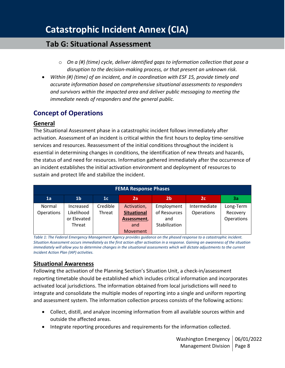### **Tab G: Situational Assessment**

- o *On a (#) (time) cycle, deliver identified gaps to information collection that pose a disruption to the decision-making process, or that present an unknown risk.*
- *Within (#) (time) of an incident, and in coordination with ESF 15, provide timely and accurate information based on comprehensive situational assessments to responders and survivors within the impacted area and deliver public messaging to meeting the immediate needs of responders and the general public.*

### <span id="page-7-0"></span>**Concept of Operations**

#### <span id="page-7-1"></span>**General**

The Situational Assessment phase in a catastrophic incident follows immediately after activation. Assessment of an incident is critical within the first hours to deploy time-sensitive services and resources. Reassessment of the initial conditions throughout the incident is essential in determining changes in conditions, the identification of new threats and hazards, the status of and need for resources. Information gathered immediately after the occurrence of an incident establishes the initial activation environment and deployment of resources to sustain and protect life and stabilize the incident.

| <b>FEMA Response Phases</b> |                |                |                    |                |                |            |
|-----------------------------|----------------|----------------|--------------------|----------------|----------------|------------|
| 1a                          | 1 <sub>b</sub> | 1 <sub>c</sub> | 2a                 | 2 <sub>b</sub> | 2 <sub>c</sub> | 3a         |
| Normal                      | Increased      | Credible       | Activation,        | Employment     | Intermediate   | Long-Term  |
| Operations                  | Likelihood     | Threat         | <b>Situational</b> | of Resources   | Operations     | Recovery   |
|                             | or Elevated    |                | Assessment,        | and            |                | Operations |
|                             | Threat         |                | and                | Stabilization  |                |            |
|                             |                |                | Movement           |                |                |            |

*Table 1: The Federal Emergency Management Agency provides guidance on the phased response to a catastrophic incident. Situation Assessment occurs immediately as the first action after activation in a response. Gaining an awareness of the situation immediately will allow you to determine changes in the situational assessments which will dictate adjustments to the current Incident Action Plan (IAP) activities.*

#### <span id="page-7-2"></span>**Situational Awareness**

Following the activation of the Planning Section's Situation Unit, a check-in/assessment reporting timetable should be established which includes critical information and incorporates activated local jurisdictions. The information obtained from local jurisdictions will need to integrate and consolidate the multiple modes of reporting into a single and uniform reporting and assessment system. The information collection process consists of the following actions:

- Collect, distill, and analyze incoming information from all available sources within and outside the affected areas.
- Integrate reporting procedures and requirements for the information collected.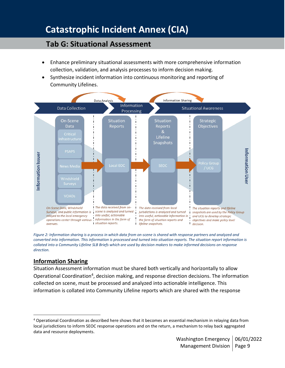## **Tab G: Situational Assessment**

- Enhance preliminary situational assessments with more comprehensive information collection, validation, and analysis processes to inform decision making.
- Synthesize incident information into continuous monitoring and reporting of Community Lifelines.



*Figure 2: Information sharing is a process in which data from on-scene is shared with response partners and analyzed and converted into information. This information is processed and turned into situation reports. The situation report information is collated into a Community Lifeline SLB Briefs which are used by decision makers to make informed decisions on response direction.*

### <span id="page-8-0"></span>**Information Sharing**

Situation Assessment information must be shared both vertically and horizontally to allow Operational Coordination<sup>4</sup>, decision making, and response direction decisions. The information collected on scene, must be processed and analyzed into actionable intelligence. This information is collated into Community Lifeline reports which are shared with the response

<sup>4</sup> Operational Coordination as described here shows that it becomes an essential mechanism in relaying data from local jurisdictions to inform SEOC response operations and on the return, a mechanism to relay back aggregated data and resource deployments.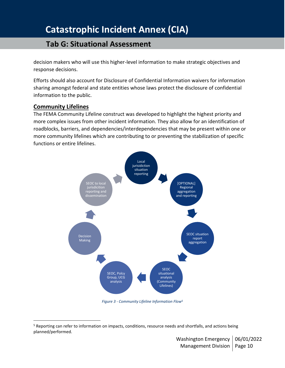## **Tab G: Situational Assessment**

decision makers who will use this higher-level information to make strategic objectives and response decisions.

Efforts should also account for Disclosure of Confidential Information waivers for information sharing amongst federal and state entities whose laws protect the disclosure of confidential information to the public.

#### <span id="page-9-0"></span>**Community Lifelines**

The FEMA Community Lifeline construct was developed to highlight the highest priority and more complex issues from other incident information. They also allow for an identification of roadblocks, barriers, and dependencies/interdependencies that may be present within one or more community lifelines which are contributing to or preventing the stabilization of specific functions or entire lifelines.



*Figure 3 - Community Lifeline Information Flow<sup>5</sup>*

<sup>&</sup>lt;sup>5</sup> Reporting can refer to information on impacts, conditions, resource needs and shortfalls, and actions being planned/performed.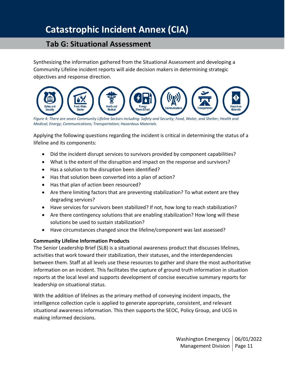## **Tab G: Situational Assessment**

Synthesizing the information gathered from the Situational Assessment and developing a Community Lifeline incident reports will aide decision makers in determining strategic objectives and response direction.



Figure 4: There are seven Community Lifeline Sectors including: Safety and Security; Food, Water, and Shelter; Health and *Medical; Energy; Communications; Transportation; Hazardous Materials.* 

Applying the following questions regarding the incident is critical in determining the status of a lifeline and its components:

- Did the incident disrupt services to survivors provided by component capabilities?
- What is the extent of the disruption and impact on the response and survivors?
- Has a solution to the disruption been identified?
- Has that solution been converted into a plan of action?
- Has that plan of action been resourced?
- Are there limiting factors that are preventing stabilization? To what extent are they degrading services?
- Have services for survivors been stabilized? If not, how long to reach stabilization?
- Are there contingency solutions that are enabling stabilization? How long will these solutions be used to sustain stabilization?
- Have circumstances changed since the lifeline/component was last assessed?

#### **Community Lifeline Information Products**

The Senior Leadership Brief (SLB) is a situational awareness product that discusses lifelines, activities that work toward their stabilization, their statuses, and the interdependencies between them. Staff at all levels use these resources to gather and share the most authoritative information on an incident. This facilitates the capture of ground truth information in situation reports at the local level and supports development of concise executive summary reports for leadership on situational status.

With the addition of lifelines as the primary method of conveying incident impacts, the intelligence collection cycle is applied to generate appropriate, consistent, and relevant situational awareness information. This then supports the SEOC, Policy Group, and UCG in making informed decisions.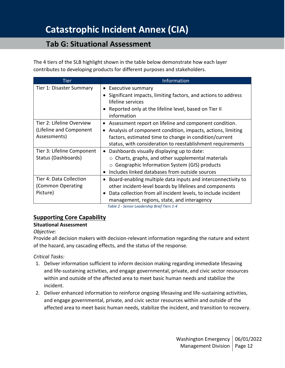### **Tab G: Situational Assessment**

The 4 tiers of the SLB highlight shown in the table below demonstrate how each layer contributes to developing products for different purposes and stakeholders.

| <b>Tier</b>                                                          | Information                                                                                                                                                                                                                                                |
|----------------------------------------------------------------------|------------------------------------------------------------------------------------------------------------------------------------------------------------------------------------------------------------------------------------------------------------|
| Tier 1: Disaster Summary                                             | • Executive summary<br>Significant impacts, limiting factors, and actions to address<br>٠<br>lifeline services<br>Reported only at the lifeline level, based on Tier II<br>$\bullet$<br>information                                                        |
| Tier 2: Lifeline Overview<br>(Lifeline and Component<br>Assessments) | Assessment report on lifeline and component condition.<br>$\bullet$<br>Analysis of component condition, impacts, actions, limiting<br>factors, estimated time to change in condition/current<br>status, with consideration to reestablishment requirements |
| Tier 3: Lifeline Component<br>Status (Dashboards)                    | Dashboards visually displaying up to date:<br>$\bullet$<br>$\circ$ Charts, graphs, and other supplemental materials<br>$\circ$ Geographic Information System (GIS) products<br>Includes linked databases from outside sources<br>٠                         |
| Tier 4: Data Collection<br>(Common Operating<br>Picture)             | Board-enabling multiple data inputs and interconnectivity to<br>$\bullet$<br>other incident-level boards by lifelines and components<br>Data collection from all incident levels, to include incident<br>٠<br>management, regions, state, and interagency  |

*Table 2 - Senior Leadership Brief Tiers 1-4*

#### <span id="page-11-0"></span>**Supporting Core Capability**

#### **Situational Assessment**

#### *Objective:*

Provide all decision makers with decision-relevant information regarding the nature and extent of the hazard, any cascading effects, and the status of the response.

*Critical Tasks:*

- 1. Deliver information sufficient to inform decision making regarding immediate lifesaving and life-sustaining activities, and engage governmental, private, and civic sector resources within and outside of the affected area to meet basic human needs and stabilize the incident.
- 2. Deliver enhanced information to reinforce ongoing lifesaving and life-sustaining activities, and engage governmental, private, and civic sector resources within and outside of the affected area to meet basic human needs, stabilize the incident, and transition to recovery.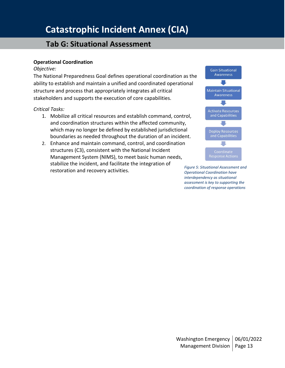## **Tab G: Situational Assessment**

#### **Operational Coordination**

#### *Objective:*

The National Preparedness Goal defines operational coordination as the ability to establish and maintain a unified and coordinated operational structure and process that appropriately integrates all critical stakeholders and supports the execution of core capabilities.

#### *Critical Tasks:*

- 1. Mobilize all critical resources and establish command, control, and coordination structures within the affected community, which may no longer be defined by established jurisdictional boundaries as needed throughout the duration of an incident.
- 2. Enhance and maintain command, control, and coordination structures (C3), consistent with the National Incident Management System (NIMS), to meet basic human needs, stabilize the incident, and facilitate the integration of restoration and recovery activities.<br>**Figure 5: Situational Assessment and <br>***Constitutional Coordination have*



*Operational Coordination have interdependency as situational assessment is key to supporting the coordination of response operations*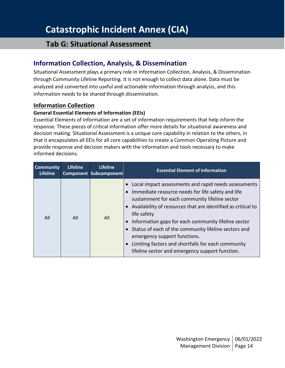### **Tab G: Situational Assessment**

### <span id="page-13-0"></span>**Information Collection, Analysis, & Dissemination**

Situational Assessment plays a primary role in Information Collection, Analysis, & Dissemination through Community Lifeline Reporting. It is not enough to collect data alone. Data must be analyzed and converted into useful and actionable information through analysis, and this information needs to be shared through dissemination.

#### <span id="page-13-1"></span>**Information Collection**

#### **General Essential Elements of Information (EEIs)**

Essential Elements of information are a set of information requirements that help inform the response. These pieces of critical information offer more details for situational awareness and decision making. Situational Assessment is a unique core capability in relation to the others, in that it encapsulates all EEIs for all core capabilities to create a Common Operating Picture and provide response and decision makers with the information and tools necessary to make informed decisions.

| <b>Community</b><br><b>Lifeline</b> | <b>Lifeline</b> | <b>Lifeline</b><br><b>Component Subcomponent</b> | <b>Essential Element of Information</b>                                                                                                                                                                                                                                                                                                                                                                                                                                                                |
|-------------------------------------|-----------------|--------------------------------------------------|--------------------------------------------------------------------------------------------------------------------------------------------------------------------------------------------------------------------------------------------------------------------------------------------------------------------------------------------------------------------------------------------------------------------------------------------------------------------------------------------------------|
| All                                 | All             | All                                              | Local impact assessments and rapid needs assessments<br>Immediate resource needs for life safety and life<br>sustainment for each community lifeline sector<br>• Availability of resources that are identified as critical to<br>life safety<br>Information gaps for each community lifeline sector<br>• Status of each of the community lifeline sectors and<br>emergency support functions.<br>Limiting factors and shortfalls for each community<br>lifeline sector and emergency support function. |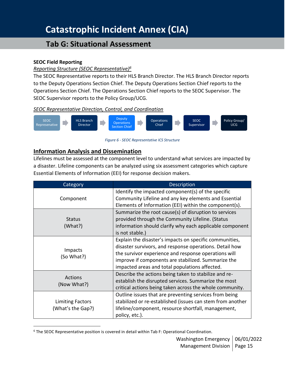## **Tab G: Situational Assessment**

#### **SEOC Field Reporting**

#### *Reporting Structure (SEOC Representative)<sup>6</sup>*

The SEOC Representative reports to their HLS Branch Director. The HLS Branch Director reports to the Deputy Operations Section Chief. The Deputy Operations Section Chief reports to the Operations Section Chief. The Operations Section Chief reports to the SEOC Supervisor. The SEOC Supervisor reports to the Policy Group/UCG.

#### *SEOC Representative Direction, Control, and Coordination*



#### *Figure 6 - SEOC Representative ICS Structure*

#### <span id="page-14-0"></span>**Information Analysis and Dissemination**

Lifelines must be assessed at the component level to understand what services are impacted by a disaster. Lifeline components can be analyzed using six assessment categories which capture Essential Elements of Information (EEI) for response decision makers.

| Category                | <b>Description</b>                                         |
|-------------------------|------------------------------------------------------------|
|                         | Identify the impacted component(s) of the specific         |
| Component               | Community Lifeline and any key elements and Essential      |
|                         | Elements of Information (EEI) within the component(s).     |
|                         | Summarize the root cause(s) of disruption to services      |
| <b>Status</b>           | provided through the Community Lifeline. (Status           |
| (What?)                 | information should clarify why each applicable component   |
|                         | is not stable.)                                            |
|                         | Explain the disaster's impacts on specific communities,    |
|                         | disaster survivors, and response operations. Detail how    |
| Impacts                 | the survivor experience and response operations will       |
| (So What?)              | improve if components are stabilized. Summarize the        |
|                         | impacted areas and total populations affected.             |
|                         | Describe the actions being taken to stabilize and re-      |
| <b>Actions</b>          | establish the disrupted services. Summarize the most       |
| (Now What?)             | critical actions being taken across the whole community.   |
|                         | Outline issues that are preventing services from being     |
| <b>Limiting Factors</b> | stabilized or re-established (issues can stem from another |
| (What's the Gap?)       | lifeline/component, resource shortfall, management,        |
|                         | policy, etc.).                                             |

<sup>&</sup>lt;sup>6</sup> The SEOC Representative position is covered in detail within Tab F: Operational Coordination.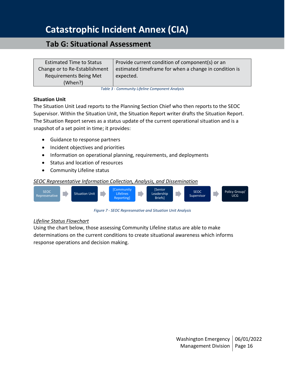### **Tab G: Situational Assessment**

| <b>Estimated Time to Status</b> | Provide current condition of component(s) or an       |
|---------------------------------|-------------------------------------------------------|
| Change or to Re-Establishment   | estimated timeframe for when a change in condition is |
| Requirements Being Met          | expected.                                             |
| (When?)                         |                                                       |

*Table 3 - Community Lifeline Component Analysis*

#### **Situation Unit**

The Situation Unit Lead reports to the Planning Section Chief who then reports to the SEOC Supervisor. Within the Situation Unit, the Situation Report writer drafts the Situation Report. The Situation Report serves as a status update of the current operational situation and is a snapshot of a set point in time; it provides:

- Guidance to response partners
- Incident objectives and priorities
- Information on operational planning, requirements, and deployments
- Status and location of resources
- Community Lifeline status

#### *SEOC Representative Information Collection, Analysis, and Dissemination*



*Figure 7 - SEOC Represenative and Situation Unit Analysis*

#### *Lifeline Status Flowchart*

Using the chart below, those assessing Community Lifeline status are able to make determinations on the current conditions to create situational awareness which informs response operations and decision making.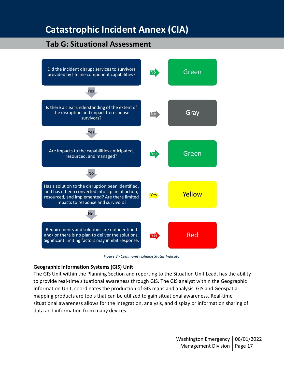## **Tab G: Situational Assessment**



*Figure 8 - Community Lifeline Status Indicator*

#### **Geographic Information Systems (GIS) Unit**

The GIS Unit within the Planning Section and reporting to the Situation Unit Lead, has the ability to provide real-time situational awareness through GIS. The GIS analyst within the Geographic Information Unit, coordinates the production of GIS maps and analysis. GIS and Geospatial mapping products are tools that can be utilized to gain situational awareness. Real-time situational awareness allows for the integration, analysis, and display or information sharing of data and information from many devices.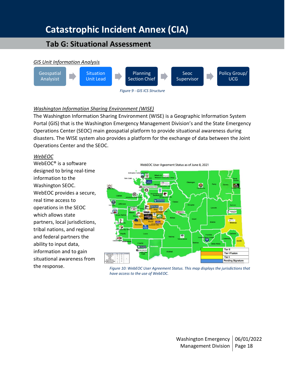## **Tab G: Situational Assessment**



#### *Washington Information Sharing Environment (WISE)*

The Washington Information Sharing Environment (WISE) is a Geographic Information System Portal (GIS) that is the Washington Emergency Management Division's and the State Emergency Operations Center (SEOC) main geospatial platform to provide situational awareness during disasters. The WISE system also provides a platform for the exchange of data between the Joint Operations Center and the SEOC.

#### *WebEOC*

WebEOC® is a software designed to bring real-time information to the Washington SEOC. WebEOC provides a secure, real time access to operations in the SEOC which allows state partners, local jurisdictions, tribal nations, and regional and federal partners the ability to input data, information and to gain situational awareness from the response.

WebEOC User Ageement Status as of June 8, 2021



*Figure 10: WebEOC User Agreement Status. This map displays the jurisdictions that have access to the use of WebEOC.*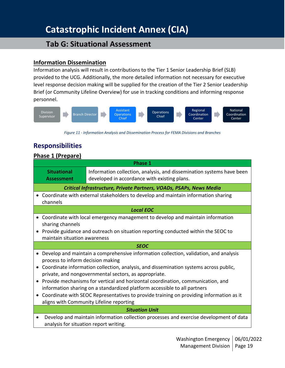### **Tab G: Situational Assessment**

#### <span id="page-18-0"></span>**Information Dissemination**

Information analysis will result in contributions to the Tier 1 Senior Leadership Brief (SLB) provided to the UCG. Additionally, the more detailed information not necessary for executive level response decision making will be supplied for the creation of the Tier 2 Senior Leadership Brief (or Community Lifeline Overview) for use in tracking conditions and informing response personnel.



*Figure 11 - Information Analysis and Dissemination Process for FEMA Divisions and Branches*

### <span id="page-18-1"></span>**Responsibilities**

#### <span id="page-18-2"></span>**Phase 1 (Prepare)**

|                                                                                                                                                | <b>Phase 1</b>                                                                                                        |  |  |  |
|------------------------------------------------------------------------------------------------------------------------------------------------|-----------------------------------------------------------------------------------------------------------------------|--|--|--|
| <b>Situational</b><br><b>Assessment</b>                                                                                                        | Information collection, analysis, and dissemination systems have been<br>developed in accordance with existing plans. |  |  |  |
|                                                                                                                                                | Critical Infrastructure, Private Partners, VOADs, PSAPs, News Media                                                   |  |  |  |
| channels                                                                                                                                       | Coordinate with external stakeholders to develop and maintain information sharing                                     |  |  |  |
|                                                                                                                                                | <b>Local EOC</b>                                                                                                      |  |  |  |
| sharing channels                                                                                                                               | Coordinate with local emergency management to develop and maintain information                                        |  |  |  |
| Provide guidance and outreach on situation reporting conducted within the SEOC to<br>maintain situation awareness                              |                                                                                                                       |  |  |  |
|                                                                                                                                                | <b>SEOC</b>                                                                                                           |  |  |  |
| process to inform decision making                                                                                                              | Develop and maintain a comprehensive information collection, validation, and analysis                                 |  |  |  |
| Coordinate information collection, analysis, and dissemination systems across public,<br>private, and nongovernmental sectors, as appropriate. |                                                                                                                       |  |  |  |
|                                                                                                                                                | Provide mechanisms for vertical and horizontal coordination, communication, and                                       |  |  |  |
| information sharing on a standardized platform accessible to all partners                                                                      |                                                                                                                       |  |  |  |
| • Coordinate with SEOC Representatives to provide training on providing information as it<br>aligns with Community Lifeline reporting          |                                                                                                                       |  |  |  |
| <b>Situation Unit</b>                                                                                                                          |                                                                                                                       |  |  |  |
| analysis for situation report writing.                                                                                                         | Develop and maintain information collection processes and exercise development of data                                |  |  |  |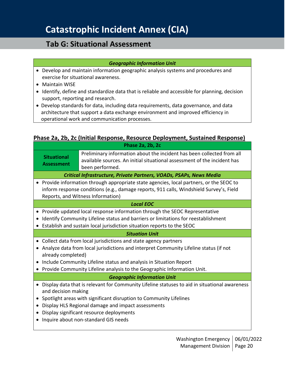### **Tab G: Situational Assessment**

#### *Geographic Information Unit*

- Develop and maintain information geographic analysis systems and procedures and exercise for situational awareness.
- Maintain WISE
- Identify, define and standardize data that is reliable and accessible for planning, decision support, reporting and research.
- Develop standards for data, including data requirements, data governance, and data architecture that support a data exchange environment and improved efficiency in operational work and communication processes.

#### <span id="page-19-0"></span>**Phase 2a, 2b, 2c (Initial Response, Resource Deployment, Sustained Response) Phase 2a, 2b, 2c**

|                                                                                                                                               | <b>FIIASC 4A, 40, 46</b>                                                                                                                                              |  |  |
|-----------------------------------------------------------------------------------------------------------------------------------------------|-----------------------------------------------------------------------------------------------------------------------------------------------------------------------|--|--|
| <b>Situational</b><br><b>Assessment</b>                                                                                                       | Preliminary information about the incident has been collected from all<br>available sources. An initial situational assessment of the incident has<br>been performed. |  |  |
|                                                                                                                                               | Critical Infrastructure, Private Partners, VOADs, PSAPs, News Media                                                                                                   |  |  |
| $\bullet$                                                                                                                                     | Provide information through appropriate state agencies, local partners, or the SEOC to                                                                                |  |  |
|                                                                                                                                               | inform response conditions (e.g., damage reports, 911 calls, Windshield Survey's, Field                                                                               |  |  |
|                                                                                                                                               | Reports, and Witness Information)                                                                                                                                     |  |  |
|                                                                                                                                               | <b>Local EOC</b>                                                                                                                                                      |  |  |
| $\bullet$                                                                                                                                     | Provide updated local response information through the SEOC Representative                                                                                            |  |  |
| $\bullet$                                                                                                                                     | Identify Community Lifeline status and barriers or limitations for reestablishment                                                                                    |  |  |
|                                                                                                                                               | Establish and sustain local jurisdiction situation reports to the SEOC                                                                                                |  |  |
|                                                                                                                                               | <b>Situation Unit</b>                                                                                                                                                 |  |  |
| $\bullet$                                                                                                                                     | Collect data from local jurisdictions and state agency partners                                                                                                       |  |  |
| Analyze data from local jurisdictions and interpret Community Lifeline status (if not<br>$\bullet$                                            |                                                                                                                                                                       |  |  |
| already completed)                                                                                                                            |                                                                                                                                                                       |  |  |
| Include Community Lifeline status and analysis in Situation Report<br>Provide Community Lifeline analysis to the Geographic Information Unit. |                                                                                                                                                                       |  |  |
|                                                                                                                                               |                                                                                                                                                                       |  |  |
|                                                                                                                                               | <b>Geographic Information Unit</b>                                                                                                                                    |  |  |
| $\bullet$<br>and decision making                                                                                                              | Display data that is relevant for Community Lifeline statuses to aid in situational awareness                                                                         |  |  |
| Spotlight areas with significant disruption to Community Lifelines<br>$\bullet$                                                               |                                                                                                                                                                       |  |  |
| Display HLS Regional damage and impact assessments<br>$\bullet$                                                                               |                                                                                                                                                                       |  |  |
| $\bullet$                                                                                                                                     | Display significant resource deployments                                                                                                                              |  |  |
| Inquire about non-standard GIS needs<br>$\bullet$                                                                                             |                                                                                                                                                                       |  |  |
|                                                                                                                                               |                                                                                                                                                                       |  |  |
|                                                                                                                                               |                                                                                                                                                                       |  |  |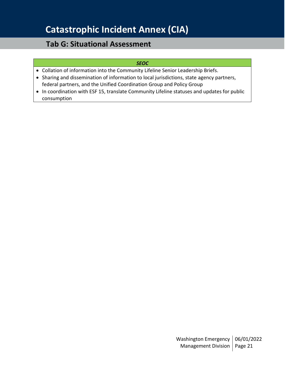## **Tab G: Situational Assessment**

#### *SEOC*

- Collation of information into the Community Lifeline Senior Leadership Briefs.
- Sharing and dissemination of information to local jurisdictions, state agency partners, federal partners, and the Unified Coordination Group and Policy Group
- In coordination with ESF 15, translate Community Lifeline statuses and updates for public consumption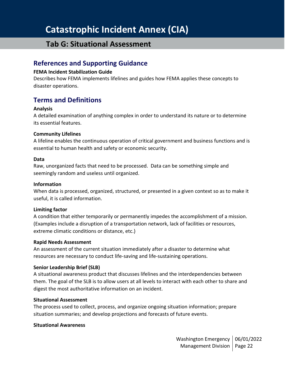### **Tab G: Situational Assessment**

### <span id="page-21-0"></span>**References and Supporting Guidance**

#### **FEMA Incident Stabilization Guide**

Describes how FEMA implements lifelines and guides how FEMA applies these concepts to disaster operations.

### <span id="page-21-1"></span>**Terms and Definitions**

#### **Analysis**

A detailed examination of anything complex in order to understand its nature or to determine its essential features.

#### **Community Lifelines**

A lifeline enables the continuous operation of critical government and business functions and is essential to human health and safety or economic security.

#### **Data**

Raw, unorganized facts that need to be processed. Data can be something simple and seemingly random and useless until organized.

#### **Information**

When data is processed, organized, structured, or presented in a given context so as to make it useful, it is called information.

#### **Limiting factor**

A condition that either temporarily or permanently impedes the accomplishment of a mission. (Examples include a disruption of a transportation network, lack of facilities or resources, extreme climatic conditions or distance, etc.)

#### **Rapid Needs Assessment**

An assessment of the current situation immediately after a disaster to determine what resources are necessary to conduct life-saving and life-sustaining operations.

#### **Senior Leadership Brief (SLB)**

A situational awareness product that discusses lifelines and the interdependencies between them. The goal of the SLB is to allow users at all levels to interact with each other to share and digest the most authoritative information on an incident.

#### **Situational Assessment**

The process used to collect, process, and organize ongoing situation information; prepare situation summaries; and develop projections and forecasts of future events.

#### **Situational Awareness**